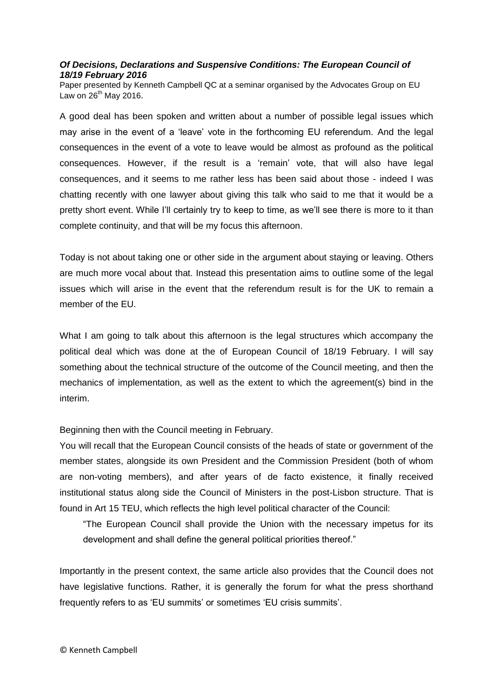## *Of Decisions, Declarations and Suspensive Conditions: The European Council of 18/19 February 2016*

Paper presented by Kenneth Campbell QC at a seminar organised by the Advocates Group on EU Law on  $26^{th}$  May 2016.

A good deal has been spoken and written about a number of possible legal issues which may arise in the event of a 'leave' vote in the forthcoming EU referendum. And the legal consequences in the event of a vote to leave would be almost as profound as the political consequences. However, if the result is a 'remain' vote, that will also have legal consequences, and it seems to me rather less has been said about those - indeed I was chatting recently with one lawyer about giving this talk who said to me that it would be a pretty short event. While I'll certainly try to keep to time, as we'll see there is more to it than complete continuity, and that will be my focus this afternoon.

Today is not about taking one or other side in the argument about staying or leaving. Others are much more vocal about that. Instead this presentation aims to outline some of the legal issues which will arise in the event that the referendum result is for the UK to remain a member of the EU.

What I am going to talk about this afternoon is the legal structures which accompany the political deal which was done at the of European Council of 18/19 February. I will say something about the technical structure of the outcome of the Council meeting, and then the mechanics of implementation, as well as the extent to which the agreement(s) bind in the interim.

Beginning then with the Council meeting in February.

You will recall that the European Council consists of the heads of state or government of the member states, alongside its own President and the Commission President (both of whom are non-voting members), and after years of de facto existence, it finally received institutional status along side the Council of Ministers in the post-Lisbon structure. That is found in Art 15 TEU, which reflects the high level political character of the Council:

"The European Council shall provide the Union with the necessary impetus for its development and shall define the general political priorities thereof."

Importantly in the present context, the same article also provides that the Council does not have legislative functions. Rather, it is generally the forum for what the press shorthand frequently refers to as 'EU summits' or sometimes 'EU crisis summits'.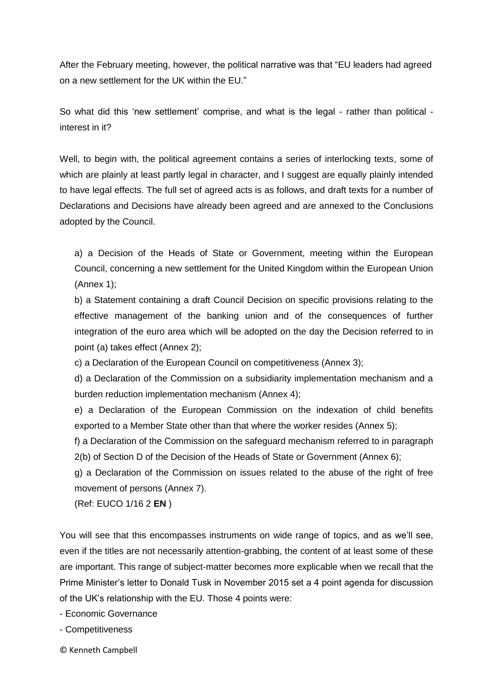After the February meeting, however, the political narrative was that "EU leaders had agreed on a new settlement for the UK within the EU."

So what did this 'new settlement' comprise, and what is the legal - rather than political interest in it?

Well, to begin with, the political agreement contains a series of interlocking texts, some of which are plainly at least partly legal in character, and I suggest are equally plainly intended to have legal effects. The full set of agreed acts is as follows, and draft texts for a number of Declarations and Decisions have already been agreed and are annexed to the Conclusions adopted by the Council.

a) a Decision of the Heads of State or Government, meeting within the European Council, concerning a new settlement for the United Kingdom within the European Union (Annex 1);

b) a Statement containing a draft Council Decision on specific provisions relating to the effective management of the banking union and of the consequences of further integration of the euro area which will be adopted on the day the Decision referred to in point (a) takes effect (Annex 2);

c) a Declaration of the European Council on competitiveness (Annex 3);

d) a Declaration of the Commission on a subsidiarity implementation mechanism and a burden reduction implementation mechanism (Annex 4);

e) a Declaration of the European Commission on the indexation of child benefits exported to a Member State other than that where the worker resides (Annex 5);

f) a Declaration of the Commission on the safeguard mechanism referred to in paragraph 2(b) of Section D of the Decision of the Heads of State or Government (Annex 6);

g) a Declaration of the Commission on issues related to the abuse of the right of free movement of persons (Annex 7).

(Ref: EUCO 1/16 2 **EN** )

You will see that this encompasses instruments on wide range of topics, and as we'll see, even if the titles are not necessarily attention-grabbing, the content of at least some of these are important. This range of subject-matter becomes more explicable when we recall that the Prime Minister's letter to Donald Tusk in November 2015 set a 4 point agenda for discussion of the UK's relationship with the EU. Those 4 points were:

- Economic Governance

- Competitiveness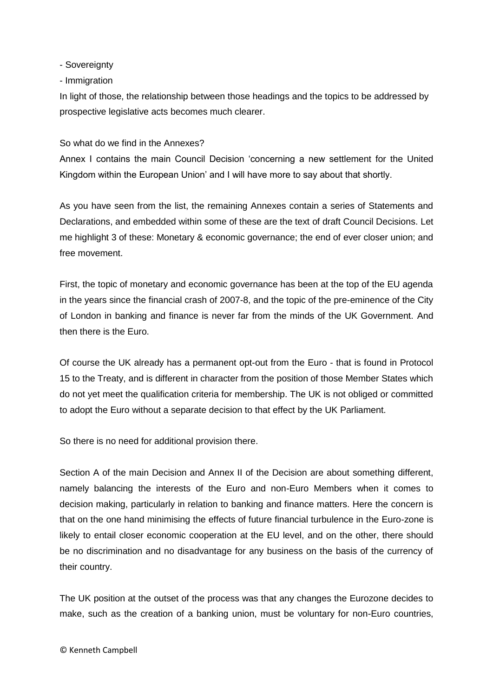- Sovereignty

- Immigration

In light of those, the relationship between those headings and the topics to be addressed by prospective legislative acts becomes much clearer.

## So what do we find in the Annexes?

Annex I contains the main Council Decision 'concerning a new settlement for the United Kingdom within the European Union' and I will have more to say about that shortly.

As you have seen from the list, the remaining Annexes contain a series of Statements and Declarations, and embedded within some of these are the text of draft Council Decisions. Let me highlight 3 of these: Monetary & economic governance; the end of ever closer union; and free movement.

First, the topic of monetary and economic governance has been at the top of the EU agenda in the years since the financial crash of 2007-8, and the topic of the pre-eminence of the City of London in banking and finance is never far from the minds of the UK Government. And then there is the Euro.

Of course the UK already has a permanent opt-out from the Euro - that is found in Protocol 15 to the Treaty, and is different in character from the position of those Member States which do not yet meet the qualification criteria for membership. The UK is not obliged or committed to adopt the Euro without a separate decision to that effect by the UK Parliament.

So there is no need for additional provision there.

Section A of the main Decision and Annex II of the Decision are about something different, namely balancing the interests of the Euro and non-Euro Members when it comes to decision making, particularly in relation to banking and finance matters. Here the concern is that on the one hand minimising the effects of future financial turbulence in the Euro-zone is likely to entail closer economic cooperation at the EU level, and on the other, there should be no discrimination and no disadvantage for any business on the basis of the currency of their country.

The UK position at the outset of the process was that any changes the Eurozone decides to make, such as the creation of a banking union, must be voluntary for non-Euro countries,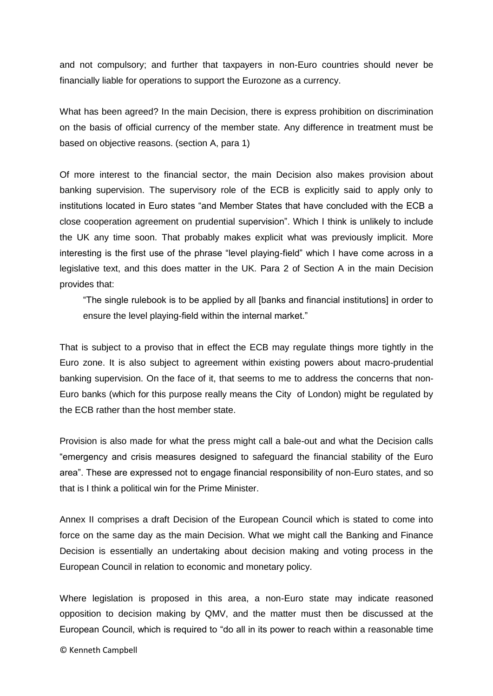and not compulsory; and further that taxpayers in non-Euro countries should never be financially liable for operations to support the Eurozone as a currency.

What has been agreed? In the main Decision, there is express prohibition on discrimination on the basis of official currency of the member state. Any difference in treatment must be based on objective reasons. (section A, para 1)

Of more interest to the financial sector, the main Decision also makes provision about banking supervision. The supervisory role of the ECB is explicitly said to apply only to institutions located in Euro states "and Member States that have concluded with the ECB a close cooperation agreement on prudential supervision". Which I think is unlikely to include the UK any time soon. That probably makes explicit what was previously implicit. More interesting is the first use of the phrase "level playing-field" which I have come across in a legislative text, and this does matter in the UK. Para 2 of Section A in the main Decision provides that:

"The single rulebook is to be applied by all [banks and financial institutions] in order to ensure the level playing-field within the internal market."

That is subject to a proviso that in effect the ECB may regulate things more tightly in the Euro zone. It is also subject to agreement within existing powers about macro-prudential banking supervision. On the face of it, that seems to me to address the concerns that non-Euro banks (which for this purpose really means the City of London) might be regulated by the ECB rather than the host member state.

Provision is also made for what the press might call a bale-out and what the Decision calls "emergency and crisis measures designed to safeguard the financial stability of the Euro area". These are expressed not to engage financial responsibility of non-Euro states, and so that is I think a political win for the Prime Minister.

Annex II comprises a draft Decision of the European Council which is stated to come into force on the same day as the main Decision. What we might call the Banking and Finance Decision is essentially an undertaking about decision making and voting process in the European Council in relation to economic and monetary policy.

Where legislation is proposed in this area, a non-Euro state may indicate reasoned opposition to decision making by QMV, and the matter must then be discussed at the European Council, which is required to "do all in its power to reach within a reasonable time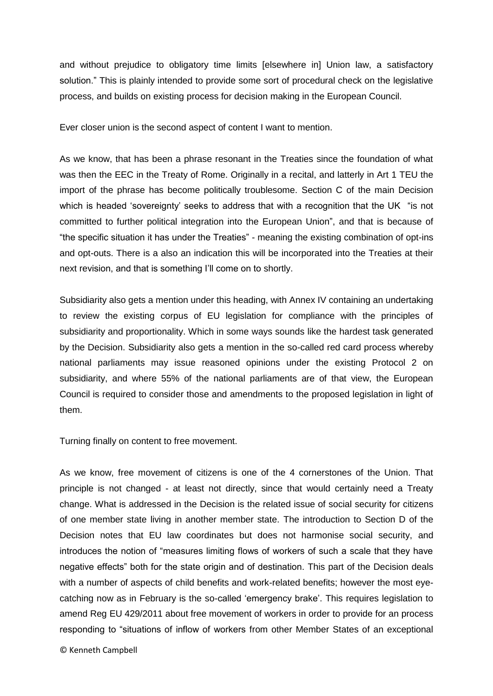and without prejudice to obligatory time limits [elsewhere in] Union law, a satisfactory solution." This is plainly intended to provide some sort of procedural check on the legislative process, and builds on existing process for decision making in the European Council.

Ever closer union is the second aspect of content I want to mention.

As we know, that has been a phrase resonant in the Treaties since the foundation of what was then the EEC in the Treaty of Rome. Originally in a recital, and latterly in Art 1 TEU the import of the phrase has become politically troublesome. Section C of the main Decision which is headed 'sovereignty' seeks to address that with a recognition that the UK "is not committed to further political integration into the European Union", and that is because of "the specific situation it has under the Treaties" - meaning the existing combination of opt-ins and opt-outs. There is a also an indication this will be incorporated into the Treaties at their next revision, and that is something I'll come on to shortly.

Subsidiarity also gets a mention under this heading, with Annex IV containing an undertaking to review the existing corpus of EU legislation for compliance with the principles of subsidiarity and proportionality. Which in some ways sounds like the hardest task generated by the Decision. Subsidiarity also gets a mention in the so-called red card process whereby national parliaments may issue reasoned opinions under the existing Protocol 2 on subsidiarity, and where 55% of the national parliaments are of that view, the European Council is required to consider those and amendments to the proposed legislation in light of them.

Turning finally on content to free movement.

As we know, free movement of citizens is one of the 4 cornerstones of the Union. That principle is not changed - at least not directly, since that would certainly need a Treaty change. What is addressed in the Decision is the related issue of social security for citizens of one member state living in another member state. The introduction to Section D of the Decision notes that EU law coordinates but does not harmonise social security, and introduces the notion of "measures limiting flows of workers of such a scale that they have negative effects" both for the state origin and of destination. This part of the Decision deals with a number of aspects of child benefits and work-related benefits; however the most eyecatching now as in February is the so-called 'emergency brake'. This requires legislation to amend Reg EU 429/2011 about free movement of workers in order to provide for an process responding to "situations of inflow of workers from other Member States of an exceptional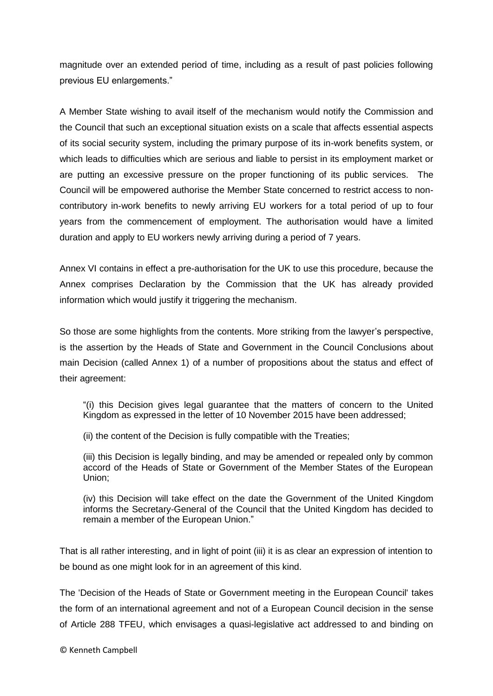magnitude over an extended period of time, including as a result of past policies following previous EU enlargements."

A Member State wishing to avail itself of the mechanism would notify the Commission and the Council that such an exceptional situation exists on a scale that affects essential aspects of its social security system, including the primary purpose of its in-work benefits system, or which leads to difficulties which are serious and liable to persist in its employment market or are putting an excessive pressure on the proper functioning of its public services. The Council will be empowered authorise the Member State concerned to restrict access to noncontributory in-work benefits to newly arriving EU workers for a total period of up to four years from the commencement of employment. The authorisation would have a limited duration and apply to EU workers newly arriving during a period of 7 years.

Annex VI contains in effect a pre-authorisation for the UK to use this procedure, because the Annex comprises Declaration by the Commission that the UK has already provided information which would justify it triggering the mechanism.

So those are some highlights from the contents. More striking from the lawyer's perspective, is the assertion by the Heads of State and Government in the Council Conclusions about main Decision (called Annex 1) of a number of propositions about the status and effect of their agreement:

"(i) this Decision gives legal guarantee that the matters of concern to the United Kingdom as expressed in the letter of 10 November 2015 have been addressed;

(ii) the content of the Decision is fully compatible with the Treaties;

(iii) this Decision is legally binding, and may be amended or repealed only by common accord of the Heads of State or Government of the Member States of the European Union;

(iv) this Decision will take effect on the date the Government of the United Kingdom informs the Secretary-General of the Council that the United Kingdom has decided to remain a member of the European Union."

That is all rather interesting, and in light of point (iii) it is as clear an expression of intention to be bound as one might look for in an agreement of this kind.

The 'Decision of the Heads of State or Government meeting in the European Council' takes the form of an international agreement and not of a European Council decision in the sense of Article 288 TFEU, which envisages a quasi-legislative act addressed to and binding on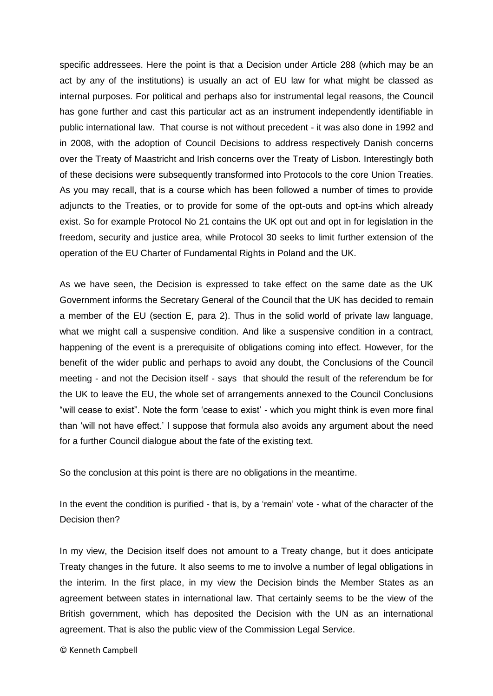specific addressees. Here the point is that a Decision under Article 288 (which may be an act by any of the institutions) is usually an act of EU law for what might be classed as internal purposes. For political and perhaps also for instrumental legal reasons, the Council has gone further and cast this particular act as an instrument independently identifiable in public international law. That course is not without precedent - it was also done in 1992 and in 2008, with the adoption of Council Decisions to address respectively Danish concerns over the Treaty of Maastricht and Irish concerns over the Treaty of Lisbon. Interestingly both of these decisions were subsequently transformed into Protocols to the core Union Treaties. As you may recall, that is a course which has been followed a number of times to provide adjuncts to the Treaties, or to provide for some of the opt-outs and opt-ins which already exist. So for example Protocol No 21 contains the UK opt out and opt in for legislation in the freedom, security and justice area, while Protocol 30 seeks to limit further extension of the operation of the EU Charter of Fundamental Rights in Poland and the UK.

As we have seen, the Decision is expressed to take effect on the same date as the UK Government informs the Secretary General of the Council that the UK has decided to remain a member of the EU (section E, para 2). Thus in the solid world of private law language, what we might call a suspensive condition. And like a suspensive condition in a contract, happening of the event is a prerequisite of obligations coming into effect. However, for the benefit of the wider public and perhaps to avoid any doubt, the Conclusions of the Council meeting - and not the Decision itself - says that should the result of the referendum be for the UK to leave the EU, the whole set of arrangements annexed to the Council Conclusions "will cease to exist". Note the form 'cease to exist' - which you might think is even more final than 'will not have effect.' I suppose that formula also avoids any argument about the need for a further Council dialogue about the fate of the existing text.

So the conclusion at this point is there are no obligations in the meantime.

In the event the condition is purified - that is, by a 'remain' vote - what of the character of the Decision then?

In my view, the Decision itself does not amount to a Treaty change, but it does anticipate Treaty changes in the future. It also seems to me to involve a number of legal obligations in the interim. In the first place, in my view the Decision binds the Member States as an agreement between states in international law. That certainly seems to be the view of the British government, which has deposited the Decision with the UN as an international agreement. That is also the public view of the Commission Legal Service.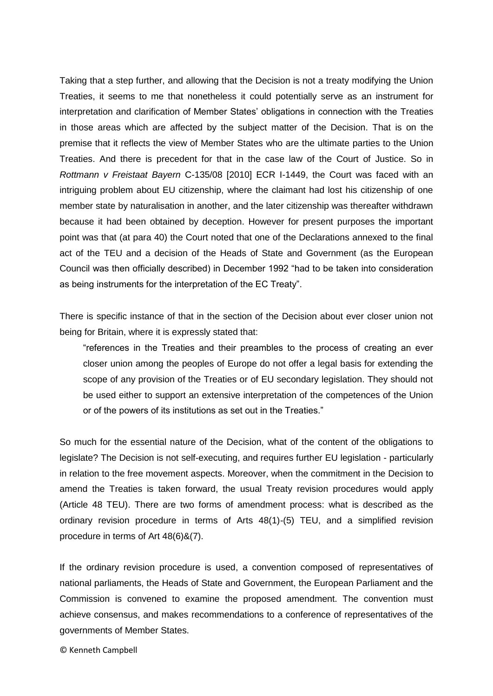Taking that a step further, and allowing that the Decision is not a treaty modifying the Union Treaties, it seems to me that nonetheless it could potentially serve as an instrument for interpretation and clarification of Member States' obligations in connection with the Treaties in those areas which are affected by the subject matter of the Decision. That is on the premise that it reflects the view of Member States who are the ultimate parties to the Union Treaties. And there is precedent for that in the case law of the Court of Justice. So in *Rottmann v Freistaat Bayern* C-135/08 [2010] ECR I-1449, the Court was faced with an intriguing problem about EU citizenship, where the claimant had lost his citizenship of one member state by naturalisation in another, and the later citizenship was thereafter withdrawn because it had been obtained by deception. However for present purposes the important point was that (at para 40) the Court noted that one of the Declarations annexed to the final act of the TEU and a decision of the Heads of State and Government (as the European Council was then officially described) in December 1992 "had to be taken into consideration as being instruments for the interpretation of the EC Treaty".

There is specific instance of that in the section of the Decision about ever closer union not being for Britain, where it is expressly stated that:

"references in the Treaties and their preambles to the process of creating an ever closer union among the peoples of Europe do not offer a legal basis for extending the scope of any provision of the Treaties or of EU secondary legislation. They should not be used either to support an extensive interpretation of the competences of the Union or of the powers of its institutions as set out in the Treaties."

So much for the essential nature of the Decision, what of the content of the obligations to legislate? The Decision is not self-executing, and requires further EU legislation - particularly in relation to the free movement aspects. Moreover, when the commitment in the Decision to amend the Treaties is taken forward, the usual Treaty revision procedures would apply (Article 48 TEU). There are two forms of amendment process: what is described as the ordinary revision procedure in terms of Arts 48(1)-(5) TEU, and a simplified revision procedure in terms of Art 48(6)&(7).

If the ordinary revision procedure is used, a convention composed of representatives of national parliaments, the Heads of State and Government, the European Parliament and the Commission is convened to examine the proposed amendment. The convention must achieve consensus, and makes recommendations to a conference of representatives of the governments of Member States.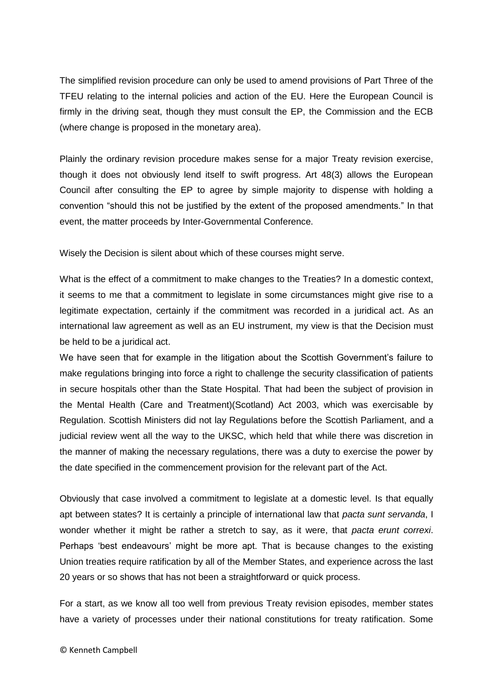The simplified revision procedure can only be used to amend provisions of Part Three of the TFEU relating to the internal policies and action of the EU. Here the European Council is firmly in the driving seat, though they must consult the EP, the Commission and the ECB (where change is proposed in the monetary area).

Plainly the ordinary revision procedure makes sense for a major Treaty revision exercise, though it does not obviously lend itself to swift progress. Art 48(3) allows the European Council after consulting the EP to agree by simple majority to dispense with holding a convention "should this not be justified by the extent of the proposed amendments." In that event, the matter proceeds by Inter-Governmental Conference.

Wisely the Decision is silent about which of these courses might serve.

What is the effect of a commitment to make changes to the Treaties? In a domestic context, it seems to me that a commitment to legislate in some circumstances might give rise to a legitimate expectation, certainly if the commitment was recorded in a juridical act. As an international law agreement as well as an EU instrument, my view is that the Decision must be held to be a juridical act.

We have seen that for example in the litigation about the Scottish Government's failure to make regulations bringing into force a right to challenge the security classification of patients in secure hospitals other than the State Hospital. That had been the subject of provision in the Mental Health (Care and Treatment)(Scotland) Act 2003, which was exercisable by Regulation. Scottish Ministers did not lay Regulations before the Scottish Parliament, and a judicial review went all the way to the UKSC, which held that while there was discretion in the manner of making the necessary regulations, there was a duty to exercise the power by the date specified in the commencement provision for the relevant part of the Act.

Obviously that case involved a commitment to legislate at a domestic level. Is that equally apt between states? It is certainly a principle of international law that *pacta sunt servanda*, I wonder whether it might be rather a stretch to say, as it were, that *pacta erunt correxi*. Perhaps 'best endeavours' might be more apt. That is because changes to the existing Union treaties require ratification by all of the Member States, and experience across the last 20 years or so shows that has not been a straightforward or quick process.

For a start, as we know all too well from previous Treaty revision episodes, member states have a variety of processes under their national constitutions for treaty ratification. Some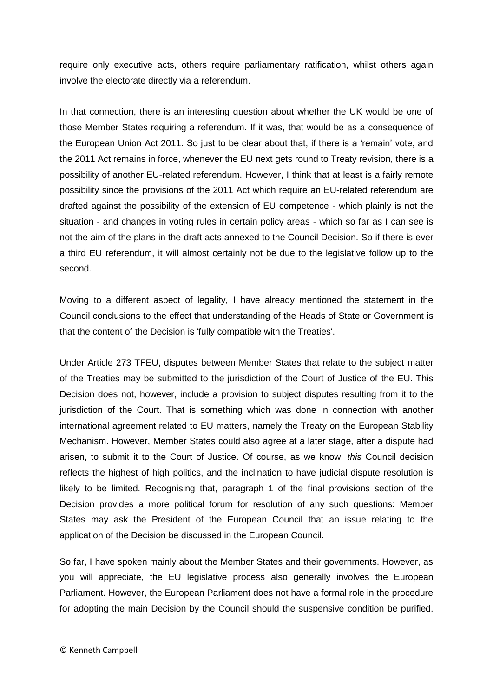require only executive acts, others require parliamentary ratification, whilst others again involve the electorate directly via a referendum.

In that connection, there is an interesting question about whether the UK would be one of those Member States requiring a referendum. If it was, that would be as a consequence of the European Union Act 2011. So just to be clear about that, if there is a 'remain' vote, and the 2011 Act remains in force, whenever the EU next gets round to Treaty revision, there is a possibility of another EU-related referendum. However, I think that at least is a fairly remote possibility since the provisions of the 2011 Act which require an EU-related referendum are drafted against the possibility of the extension of EU competence - which plainly is not the situation - and changes in voting rules in certain policy areas - which so far as I can see is not the aim of the plans in the draft acts annexed to the Council Decision. So if there is ever a third EU referendum, it will almost certainly not be due to the legislative follow up to the second.

Moving to a different aspect of legality, I have already mentioned the statement in the Council conclusions to the effect that understanding of the Heads of State or Government is that the content of the Decision is 'fully compatible with the Treaties'.

Under Article 273 TFEU, disputes between Member States that relate to the subject matter of the Treaties may be submitted to the jurisdiction of the Court of Justice of the EU. This Decision does not, however, include a provision to subject disputes resulting from it to the jurisdiction of the Court. That is something which was done in connection with another international agreement related to EU matters, namely the Treaty on the European Stability Mechanism. However, Member States could also agree at a later stage, after a dispute had arisen, to submit it to the Court of Justice. Of course, as we know, *this* Council decision reflects the highest of high politics, and the inclination to have judicial dispute resolution is likely to be limited. Recognising that, paragraph 1 of the final provisions section of the Decision provides a more political forum for resolution of any such questions: Member States may ask the President of the European Council that an issue relating to the application of the Decision be discussed in the European Council.

So far, I have spoken mainly about the Member States and their governments. However, as you will appreciate, the EU legislative process also generally involves the European Parliament. However, the European Parliament does not have a formal role in the procedure for adopting the main Decision by the Council should the suspensive condition be purified.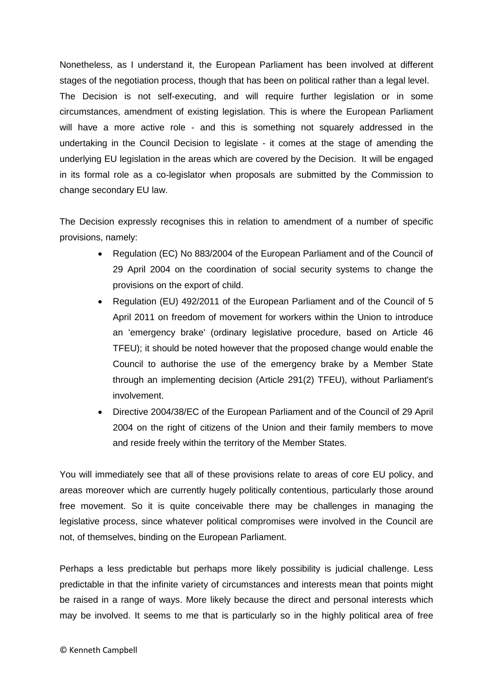Nonetheless, as I understand it, the European Parliament has been involved at different stages of the negotiation process, though that has been on political rather than a legal level. The Decision is not self-executing, and will require further legislation or in some circumstances, amendment of existing legislation. This is where the European Parliament will have a more active role - and this is something not squarely addressed in the undertaking in the Council Decision to legislate - it comes at the stage of amending the underlying EU legislation in the areas which are covered by the Decision. It will be engaged in its formal role as a co-legislator when proposals are submitted by the Commission to change secondary EU law.

The Decision expressly recognises this in relation to amendment of a number of specific provisions, namely:

- Regulation (EC) No 883/2004 of the European Parliament and of the Council of 29 April 2004 on the coordination of social security systems to change the provisions on the export of child.
- Regulation (EU) 492/2011 of the European Parliament and of the Council of 5 April 2011 on freedom of movement for workers within the Union to introduce an 'emergency brake' (ordinary legislative procedure, based on Article 46 TFEU); it should be noted however that the proposed change would enable the Council to authorise the use of the emergency brake by a Member State through an implementing decision (Article 291(2) TFEU), without Parliament's involvement.
- Directive 2004/38/EC of the European Parliament and of the Council of 29 April 2004 on the right of citizens of the Union and their family members to move and reside freely within the territory of the Member States.

You will immediately see that all of these provisions relate to areas of core EU policy, and areas moreover which are currently hugely politically contentious, particularly those around free movement. So it is quite conceivable there may be challenges in managing the legislative process, since whatever political compromises were involved in the Council are not, of themselves, binding on the European Parliament.

Perhaps a less predictable but perhaps more likely possibility is judicial challenge. Less predictable in that the infinite variety of circumstances and interests mean that points might be raised in a range of ways. More likely because the direct and personal interests which may be involved. It seems to me that is particularly so in the highly political area of free